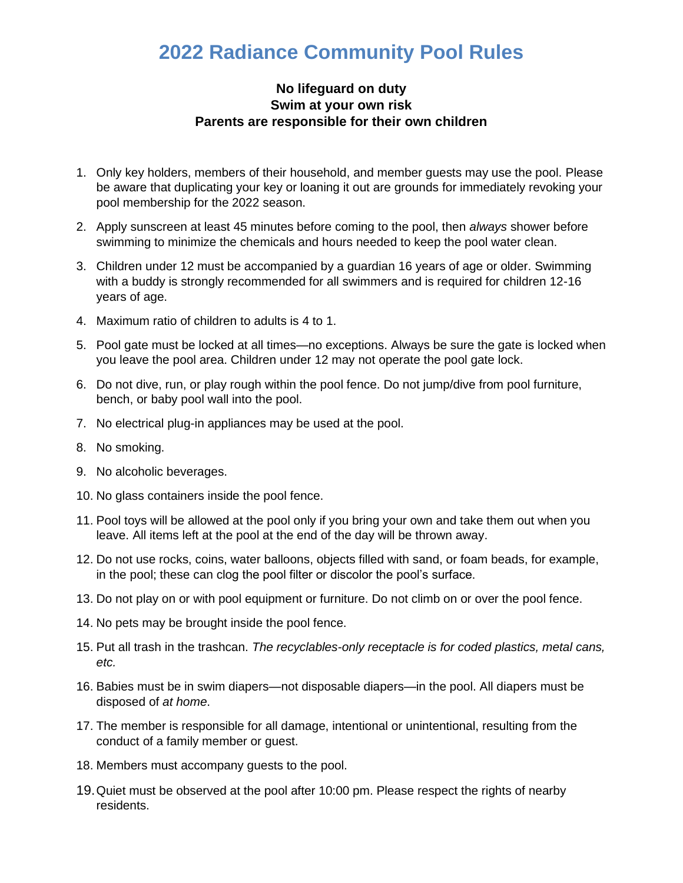## **2022 Radiance Community Pool Rules**

## **No lifeguard on duty Swim at your own risk Parents are responsible for their own children**

- 1. Only key holders, members of their household, and member guests may use the pool. Please be aware that duplicating your key or loaning it out are grounds for immediately revoking your pool membership for the 2022 season.
- 2. Apply sunscreen at least 45 minutes before coming to the pool, then *always* shower before swimming to minimize the chemicals and hours needed to keep the pool water clean.
- 3. Children under 12 must be accompanied by a guardian 16 years of age or older. Swimming with a buddy is strongly recommended for all swimmers and is required for children 12-16 years of age.
- 4. Maximum ratio of children to adults is 4 to 1.
- 5. Pool gate must be locked at all times—no exceptions. Always be sure the gate is locked when you leave the pool area. Children under 12 may not operate the pool gate lock.
- 6. Do not dive, run, or play rough within the pool fence. Do not jump/dive from pool furniture, bench, or baby pool wall into the pool.
- 7. No electrical plug-in appliances may be used at the pool.
- 8. No smoking.
- 9. No alcoholic beverages.
- 10. No glass containers inside the pool fence.
- 11. Pool toys will be allowed at the pool only if you bring your own and take them out when you leave. All items left at the pool at the end of the day will be thrown away.
- 12. Do not use rocks, coins, water balloons, objects filled with sand, or foam beads, for example, in the pool; these can clog the pool filter or discolor the pool's surface.
- 13. Do not play on or with pool equipment or furniture. Do not climb on or over the pool fence.
- 14. No pets may be brought inside the pool fence.
- 15. Put all trash in the trashcan. *The recyclables-only receptacle is for coded plastics, metal cans, etc.*
- 16. Babies must be in swim diapers—not disposable diapers—in the pool. All diapers must be disposed of *at home*.
- 17. The member is responsible for all damage, intentional or unintentional, resulting from the conduct of a family member or guest.
- 18. Members must accompany guests to the pool.
- 19.Quiet must be observed at the pool after 10:00 pm. Please respect the rights of nearby residents.